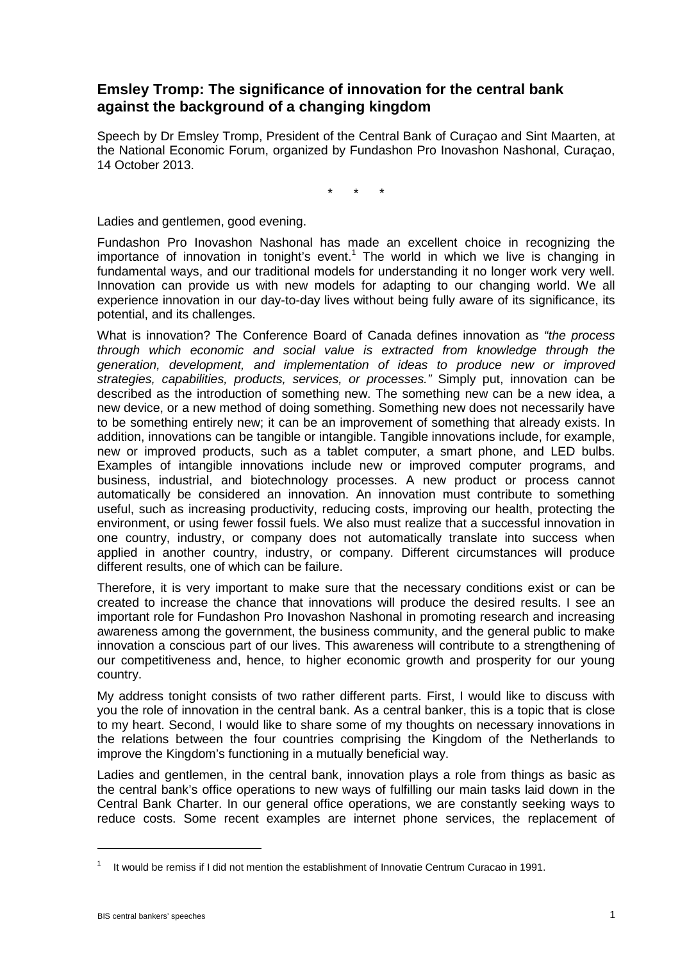## **Emsley Tromp: The significance of innovation for the central bank against the background of a changing kingdom**

Speech by Dr Emsley Tromp, President of the Central Bank of Curaçao and Sint Maarten, at the National Economic Forum, organized by Fundashon Pro Inovashon Nashonal, Curaçao, 14 October 2013.

\* \* \*

Ladies and gentlemen, good evening.

Fundashon Pro Inovashon Nashonal has made an excellent choice in recognizing the importance of innovation in tonight's event.<sup>1</sup> The world in which we live is changing in fundamental ways, and our traditional models for understanding it no longer work very well. Innovation can provide us with new models for adapting to our changing world. We all experience innovation in our day-to-day lives without being fully aware of its significance, its potential, and its challenges.

What is innovation? The Conference Board of Canada defines innovation as *"the process through which economic and social value is extracted from knowledge through the generation, development, and implementation of ideas to produce new or improved strategies, capabilities, products, services, or processes."* Simply put, innovation can be described as the introduction of something new. The something new can be a new idea, a new device, or a new method of doing something. Something new does not necessarily have to be something entirely new; it can be an improvement of something that already exists. In addition, innovations can be tangible or intangible. Tangible innovations include, for example, new or improved products, such as a tablet computer, a smart phone, and LED bulbs. Examples of intangible innovations include new or improved computer programs, and business, industrial, and biotechnology processes. A new product or process cannot automatically be considered an innovation. An innovation must contribute to something useful, such as increasing productivity, reducing costs, improving our health, protecting the environment, or using fewer fossil fuels. We also must realize that a successful innovation in one country, industry, or company does not automatically translate into success when applied in another country, industry, or company. Different circumstances will produce different results, one of which can be failure.

Therefore, it is very important to make sure that the necessary conditions exist or can be created to increase the chance that innovations will produce the desired results. I see an important role for Fundashon Pro Inovashon Nashonal in promoting research and increasing awareness among the government, the business community, and the general public to make innovation a conscious part of our lives. This awareness will contribute to a strengthening of our competitiveness and, hence, to higher economic growth and prosperity for our young country.

My address tonight consists of two rather different parts. First, I would like to discuss with you the role of innovation in the central bank. As a central banker, this is a topic that is close to my heart. Second, I would like to share some of my thoughts on necessary innovations in the relations between the four countries comprising the Kingdom of the Netherlands to improve the Kingdom's functioning in a mutually beneficial way.

Ladies and gentlemen, in the central bank, innovation plays a role from things as basic as the central bank's office operations to new ways of fulfilling our main tasks laid down in the Central Bank Charter. In our general office operations, we are constantly seeking ways to reduce costs. Some recent examples are internet phone services, the replacement of

<u>.</u>

<sup>1</sup> It would be remiss if I did not mention the establishment of Innovatie Centrum Curacao in 1991.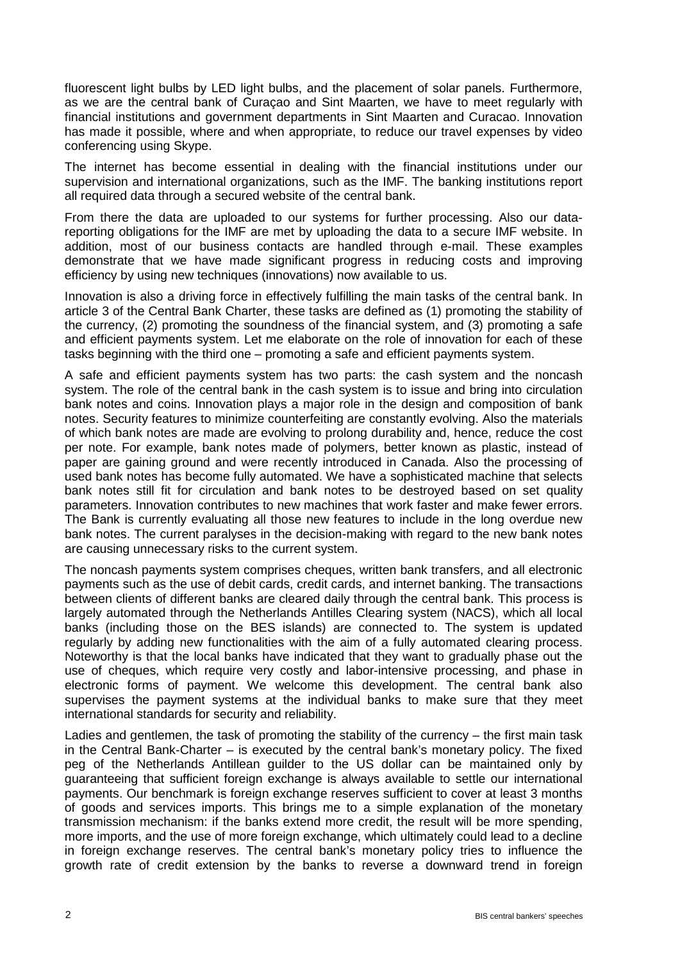fluorescent light bulbs by LED light bulbs, and the placement of solar panels. Furthermore, as we are the central bank of Curaçao and Sint Maarten, we have to meet regularly with financial institutions and government departments in Sint Maarten and Curacao. Innovation has made it possible, where and when appropriate, to reduce our travel expenses by video conferencing using Skype.

The internet has become essential in dealing with the financial institutions under our supervision and international organizations, such as the IMF. The banking institutions report all required data through a secured website of the central bank.

From there the data are uploaded to our systems for further processing. Also our datareporting obligations for the IMF are met by uploading the data to a secure IMF website. In addition, most of our business contacts are handled through e-mail. These examples demonstrate that we have made significant progress in reducing costs and improving efficiency by using new techniques (innovations) now available to us.

Innovation is also a driving force in effectively fulfilling the main tasks of the central bank. In article 3 of the Central Bank Charter, these tasks are defined as (1) promoting the stability of the currency, (2) promoting the soundness of the financial system, and (3) promoting a safe and efficient payments system. Let me elaborate on the role of innovation for each of these tasks beginning with the third one – promoting a safe and efficient payments system.

A safe and efficient payments system has two parts: the cash system and the noncash system. The role of the central bank in the cash system is to issue and bring into circulation bank notes and coins. Innovation plays a major role in the design and composition of bank notes. Security features to minimize counterfeiting are constantly evolving. Also the materials of which bank notes are made are evolving to prolong durability and, hence, reduce the cost per note. For example, bank notes made of polymers, better known as plastic, instead of paper are gaining ground and were recently introduced in Canada. Also the processing of used bank notes has become fully automated. We have a sophisticated machine that selects bank notes still fit for circulation and bank notes to be destroyed based on set quality parameters. Innovation contributes to new machines that work faster and make fewer errors. The Bank is currently evaluating all those new features to include in the long overdue new bank notes. The current paralyses in the decision-making with regard to the new bank notes are causing unnecessary risks to the current system.

The noncash payments system comprises cheques, written bank transfers, and all electronic payments such as the use of debit cards, credit cards, and internet banking. The transactions between clients of different banks are cleared daily through the central bank. This process is largely automated through the Netherlands Antilles Clearing system (NACS), which all local banks (including those on the BES islands) are connected to. The system is updated regularly by adding new functionalities with the aim of a fully automated clearing process. Noteworthy is that the local banks have indicated that they want to gradually phase out the use of cheques, which require very costly and labor-intensive processing, and phase in electronic forms of payment. We welcome this development. The central bank also supervises the payment systems at the individual banks to make sure that they meet international standards for security and reliability.

Ladies and gentlemen, the task of promoting the stability of the currency – the first main task in the Central Bank-Charter – is executed by the central bank's monetary policy. The fixed peg of the Netherlands Antillean guilder to the US dollar can be maintained only by guaranteeing that sufficient foreign exchange is always available to settle our international payments. Our benchmark is foreign exchange reserves sufficient to cover at least 3 months of goods and services imports. This brings me to a simple explanation of the monetary transmission mechanism: if the banks extend more credit, the result will be more spending, more imports, and the use of more foreign exchange, which ultimately could lead to a decline in foreign exchange reserves. The central bank's monetary policy tries to influence the growth rate of credit extension by the banks to reverse a downward trend in foreign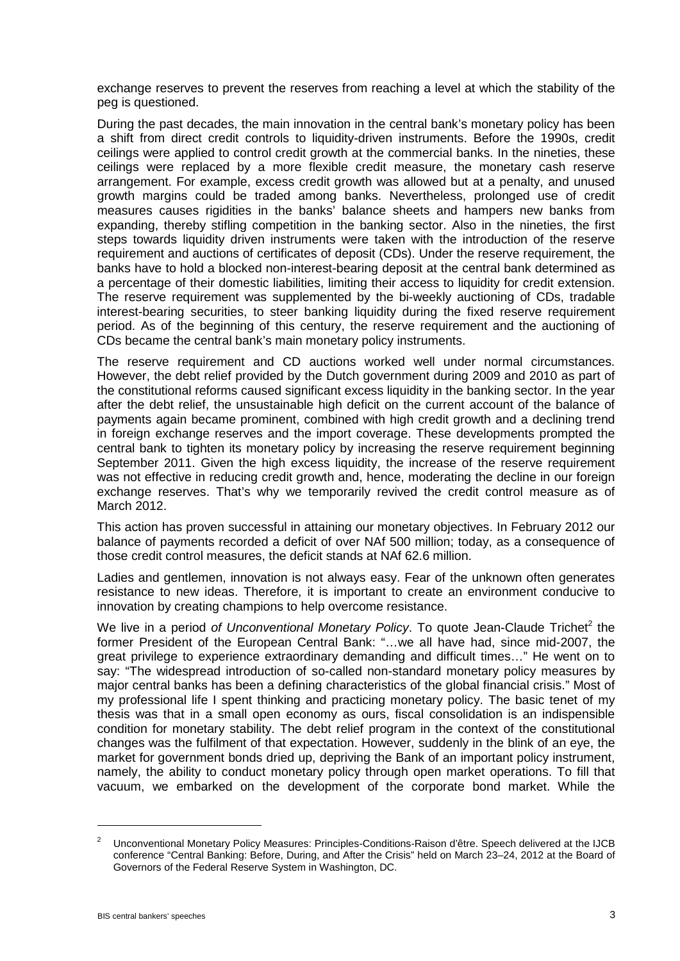exchange reserves to prevent the reserves from reaching a level at which the stability of the peg is questioned.

During the past decades, the main innovation in the central bank's monetary policy has been a shift from direct credit controls to liquidity-driven instruments. Before the 1990s, credit ceilings were applied to control credit growth at the commercial banks. In the nineties, these ceilings were replaced by a more flexible credit measure, the monetary cash reserve arrangement. For example, excess credit growth was allowed but at a penalty, and unused growth margins could be traded among banks. Nevertheless, prolonged use of credit measures causes rigidities in the banks' balance sheets and hampers new banks from expanding, thereby stifling competition in the banking sector. Also in the nineties, the first steps towards liquidity driven instruments were taken with the introduction of the reserve requirement and auctions of certificates of deposit (CDs). Under the reserve requirement, the banks have to hold a blocked non-interest-bearing deposit at the central bank determined as a percentage of their domestic liabilities, limiting their access to liquidity for credit extension. The reserve requirement was supplemented by the bi-weekly auctioning of CDs, tradable interest-bearing securities, to steer banking liquidity during the fixed reserve requirement period. As of the beginning of this century, the reserve requirement and the auctioning of CDs became the central bank's main monetary policy instruments.

The reserve requirement and CD auctions worked well under normal circumstances. However, the debt relief provided by the Dutch government during 2009 and 2010 as part of the constitutional reforms caused significant excess liquidity in the banking sector. In the year after the debt relief, the unsustainable high deficit on the current account of the balance of payments again became prominent, combined with high credit growth and a declining trend in foreign exchange reserves and the import coverage. These developments prompted the central bank to tighten its monetary policy by increasing the reserve requirement beginning September 2011. Given the high excess liquidity, the increase of the reserve requirement was not effective in reducing credit growth and, hence, moderating the decline in our foreign exchange reserves. That's why we temporarily revived the credit control measure as of March 2012.

This action has proven successful in attaining our monetary objectives. In February 2012 our balance of payments recorded a deficit of over NAf 500 million; today, as a consequence of those credit control measures, the deficit stands at NAf 62.6 million.

Ladies and gentlemen, innovation is not always easy. Fear of the unknown often generates resistance to new ideas. Therefore, it is important to create an environment conducive to innovation by creating champions to help overcome resistance.

We live in a period of Unconventional Monetary Policy. To quote Jean-Claude Trichet<sup>2</sup> the former President of the European Central Bank: "…we all have had, since mid-2007, the great privilege to experience extraordinary demanding and difficult times…" He went on to say: "The widespread introduction of so-called non-standard monetary policy measures by major central banks has been a defining characteristics of the global financial crisis." Most of my professional life I spent thinking and practicing monetary policy. The basic tenet of my thesis was that in a small open economy as ours, fiscal consolidation is an indispensible condition for monetary stability. The debt relief program in the context of the constitutional changes was the fulfilment of that expectation. However, suddenly in the blink of an eye, the market for government bonds dried up, depriving the Bank of an important policy instrument, namely, the ability to conduct monetary policy through open market operations. To fill that vacuum, we embarked on the development of the corporate bond market. While the

<u>.</u>

<sup>&</sup>lt;sup>2</sup> Unconventional Monetary Policy Measures: Principles-Conditions-Raison d'être. Speech delivered at the IJCB conference "Central Banking: Before, During, and After the Crisis" held on March 23–24, 2012 at the Board of Governors of the Federal Reserve System in Washington, DC.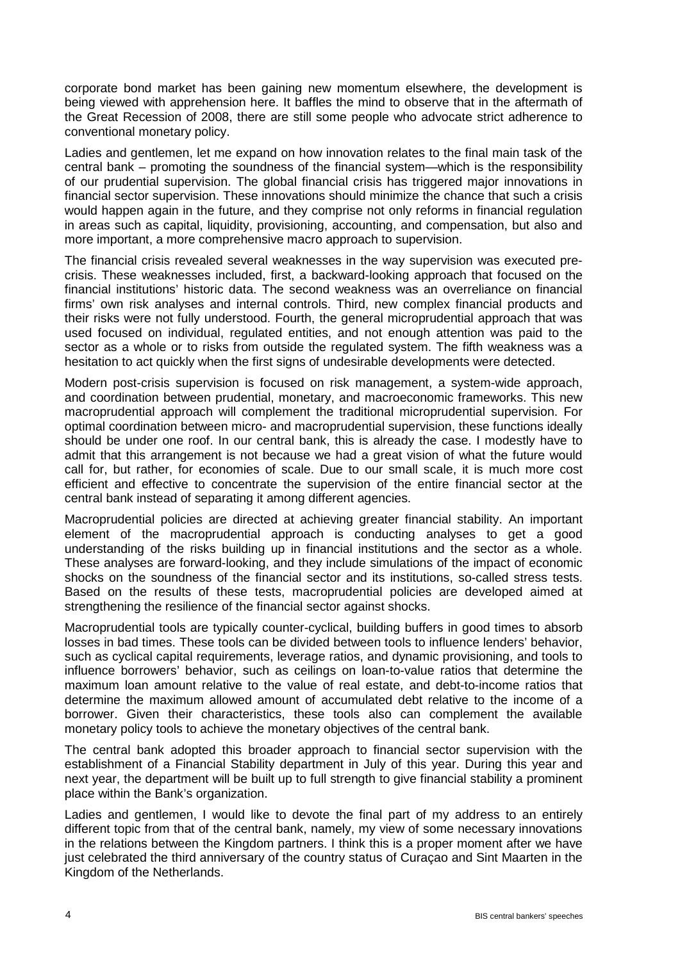corporate bond market has been gaining new momentum elsewhere, the development is being viewed with apprehension here. It baffles the mind to observe that in the aftermath of the Great Recession of 2008, there are still some people who advocate strict adherence to conventional monetary policy.

Ladies and gentlemen, let me expand on how innovation relates to the final main task of the central bank – promoting the soundness of the financial system—which is the responsibility of our prudential supervision. The global financial crisis has triggered major innovations in financial sector supervision. These innovations should minimize the chance that such a crisis would happen again in the future, and they comprise not only reforms in financial regulation in areas such as capital, liquidity, provisioning, accounting, and compensation, but also and more important, a more comprehensive macro approach to supervision.

The financial crisis revealed several weaknesses in the way supervision was executed precrisis. These weaknesses included, first, a backward-looking approach that focused on the financial institutions' historic data. The second weakness was an overreliance on financial firms' own risk analyses and internal controls. Third, new complex financial products and their risks were not fully understood. Fourth, the general microprudential approach that was used focused on individual, regulated entities, and not enough attention was paid to the sector as a whole or to risks from outside the regulated system. The fifth weakness was a hesitation to act quickly when the first signs of undesirable developments were detected.

Modern post-crisis supervision is focused on risk management, a system-wide approach, and coordination between prudential, monetary, and macroeconomic frameworks. This new macroprudential approach will complement the traditional microprudential supervision. For optimal coordination between micro- and macroprudential supervision, these functions ideally should be under one roof. In our central bank, this is already the case. I modestly have to admit that this arrangement is not because we had a great vision of what the future would call for, but rather, for economies of scale. Due to our small scale, it is much more cost efficient and effective to concentrate the supervision of the entire financial sector at the central bank instead of separating it among different agencies.

Macroprudential policies are directed at achieving greater financial stability. An important element of the macroprudential approach is conducting analyses to get a good understanding of the risks building up in financial institutions and the sector as a whole. These analyses are forward-looking, and they include simulations of the impact of economic shocks on the soundness of the financial sector and its institutions, so-called stress tests. Based on the results of these tests, macroprudential policies are developed aimed at strengthening the resilience of the financial sector against shocks.

Macroprudential tools are typically counter-cyclical, building buffers in good times to absorb losses in bad times. These tools can be divided between tools to influence lenders' behavior, such as cyclical capital requirements, leverage ratios, and dynamic provisioning, and tools to influence borrowers' behavior, such as ceilings on loan-to-value ratios that determine the maximum loan amount relative to the value of real estate, and debt-to-income ratios that determine the maximum allowed amount of accumulated debt relative to the income of a borrower. Given their characteristics, these tools also can complement the available monetary policy tools to achieve the monetary objectives of the central bank.

The central bank adopted this broader approach to financial sector supervision with the establishment of a Financial Stability department in July of this year. During this year and next year, the department will be built up to full strength to give financial stability a prominent place within the Bank's organization.

Ladies and gentlemen, I would like to devote the final part of my address to an entirely different topic from that of the central bank, namely, my view of some necessary innovations in the relations between the Kingdom partners. I think this is a proper moment after we have just celebrated the third anniversary of the country status of Curaçao and Sint Maarten in the Kingdom of the Netherlands.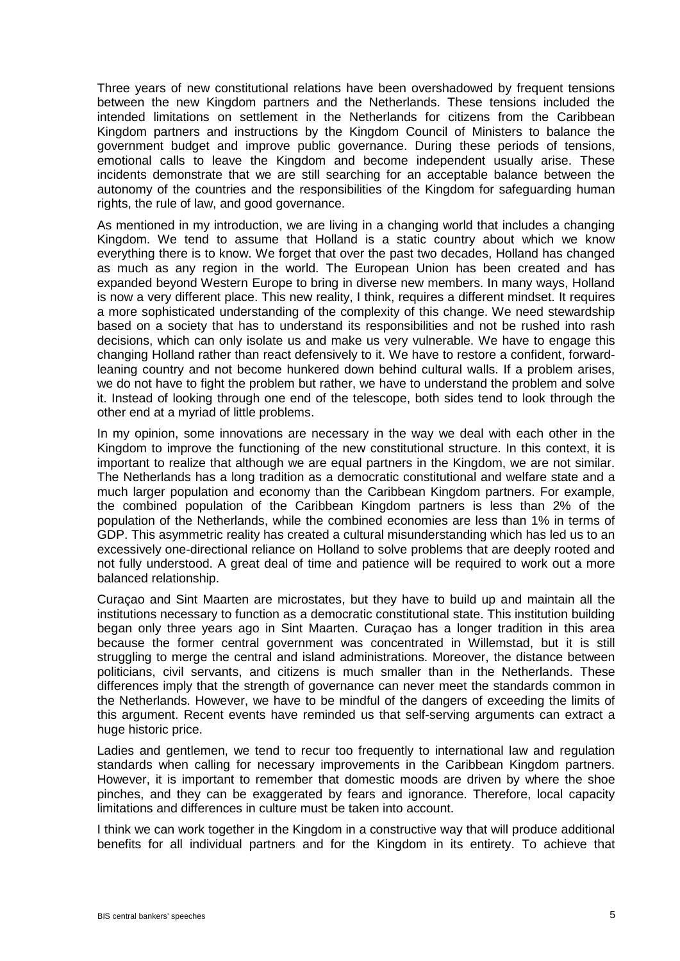Three years of new constitutional relations have been overshadowed by frequent tensions between the new Kingdom partners and the Netherlands. These tensions included the intended limitations on settlement in the Netherlands for citizens from the Caribbean Kingdom partners and instructions by the Kingdom Council of Ministers to balance the government budget and improve public governance. During these periods of tensions, emotional calls to leave the Kingdom and become independent usually arise. These incidents demonstrate that we are still searching for an acceptable balance between the autonomy of the countries and the responsibilities of the Kingdom for safeguarding human rights, the rule of law, and good governance.

As mentioned in my introduction, we are living in a changing world that includes a changing Kingdom. We tend to assume that Holland is a static country about which we know everything there is to know. We forget that over the past two decades, Holland has changed as much as any region in the world. The European Union has been created and has expanded beyond Western Europe to bring in diverse new members. In many ways, Holland is now a very different place. This new reality, I think, requires a different mindset. It requires a more sophisticated understanding of the complexity of this change. We need stewardship based on a society that has to understand its responsibilities and not be rushed into rash decisions, which can only isolate us and make us very vulnerable. We have to engage this changing Holland rather than react defensively to it. We have to restore a confident, forwardleaning country and not become hunkered down behind cultural walls. If a problem arises, we do not have to fight the problem but rather, we have to understand the problem and solve it. Instead of looking through one end of the telescope, both sides tend to look through the other end at a myriad of little problems.

In my opinion, some innovations are necessary in the way we deal with each other in the Kingdom to improve the functioning of the new constitutional structure. In this context, it is important to realize that although we are equal partners in the Kingdom, we are not similar. The Netherlands has a long tradition as a democratic constitutional and welfare state and a much larger population and economy than the Caribbean Kingdom partners. For example, the combined population of the Caribbean Kingdom partners is less than 2% of the population of the Netherlands, while the combined economies are less than 1% in terms of GDP. This asymmetric reality has created a cultural misunderstanding which has led us to an excessively one-directional reliance on Holland to solve problems that are deeply rooted and not fully understood. A great deal of time and patience will be required to work out a more balanced relationship.

Curaçao and Sint Maarten are microstates, but they have to build up and maintain all the institutions necessary to function as a democratic constitutional state. This institution building began only three years ago in Sint Maarten. Curaçao has a longer tradition in this area because the former central government was concentrated in Willemstad, but it is still struggling to merge the central and island administrations. Moreover, the distance between politicians, civil servants, and citizens is much smaller than in the Netherlands. These differences imply that the strength of governance can never meet the standards common in the Netherlands. However, we have to be mindful of the dangers of exceeding the limits of this argument. Recent events have reminded us that self-serving arguments can extract a huge historic price.

Ladies and gentlemen, we tend to recur too frequently to international law and regulation standards when calling for necessary improvements in the Caribbean Kingdom partners. However, it is important to remember that domestic moods are driven by where the shoe pinches, and they can be exaggerated by fears and ignorance. Therefore, local capacity limitations and differences in culture must be taken into account.

I think we can work together in the Kingdom in a constructive way that will produce additional benefits for all individual partners and for the Kingdom in its entirety. To achieve that